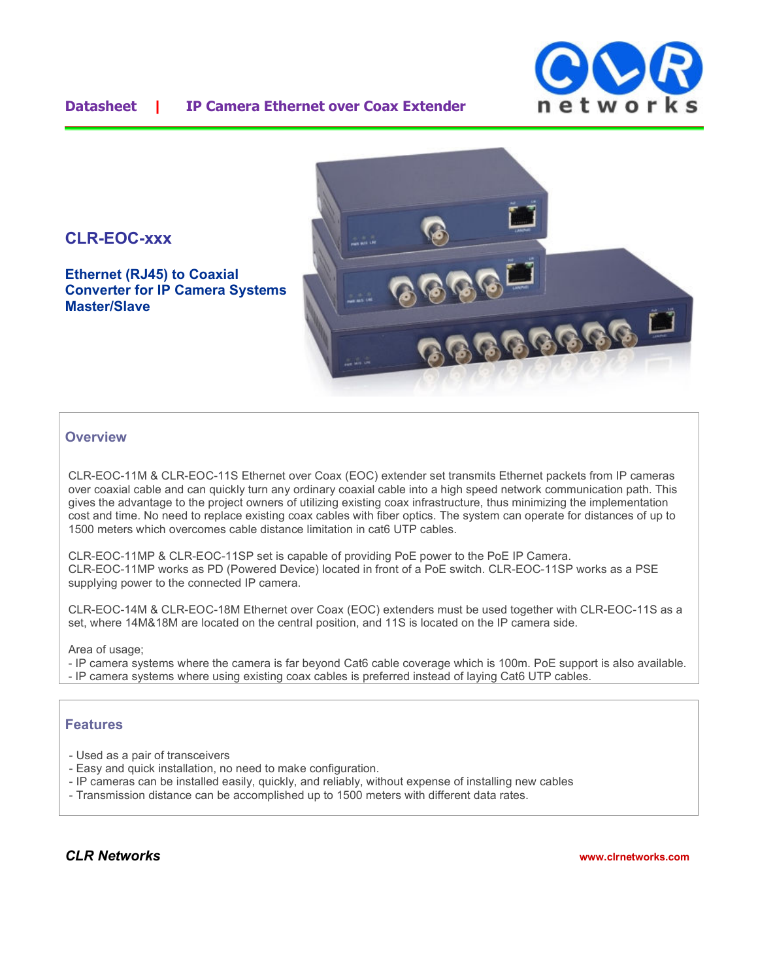## **Datasheet | IP Camera Ethernet over Coax Extender**





**Ethernet (RJ45) to Coaxial Converter for IP Camera Systems Master/Slave**



### **Overview**

CLR-EOC-11M & CLR-EOC-11S Ethernet over Coax (EOC) extender set transmits Ethernet packets from IP cameras over coaxial cable and can quickly turn any ordinary coaxial cable into a high speed network communication path. This gives the advantage to the project owners of utilizing existing coax infrastructure, thus minimizing the implementation cost and time. No need to replace existing coax cables with fiber optics. The system can operate for distances of up to 1500 meters which overcomes cable distance limitation in cat6 UTP cables.

CLR-EOC-11MP & CLR-EOC-11SP set is capable of providing PoE power to the PoE IP Camera. CLR-EOC-11MP works as PD (Powered Device) located in front of a PoE switch. CLR-EOC-11SP works as a PSE supplying power to the connected IP camera.

CLR-EOC-14M & CLR-EOC-18M Ethernet over Coax (EOC) extenders must be used together with CLR-EOC-11S as a set, where 14M&18M are located on the central position, and 11S is located on the IP camera side.

Area of usage:

- IP camera systems where the camera is far beyond Cat6 cable coverage which is 100m. PoE support is also available. - IP camera systems where using existing coax cables is preferred instead of laying Cat6 UTP cables.

#### **Features**

- Used as a pair of transceivers
- Easy and quick installation, no need to make configuration.
- IP cameras can be installed easily, quickly, and reliably, without expense of installing new cables
- Transmission distance can be accomplished up to 1500 meters with different data rates.

*CLR Networks* **www.clrnetworks.com**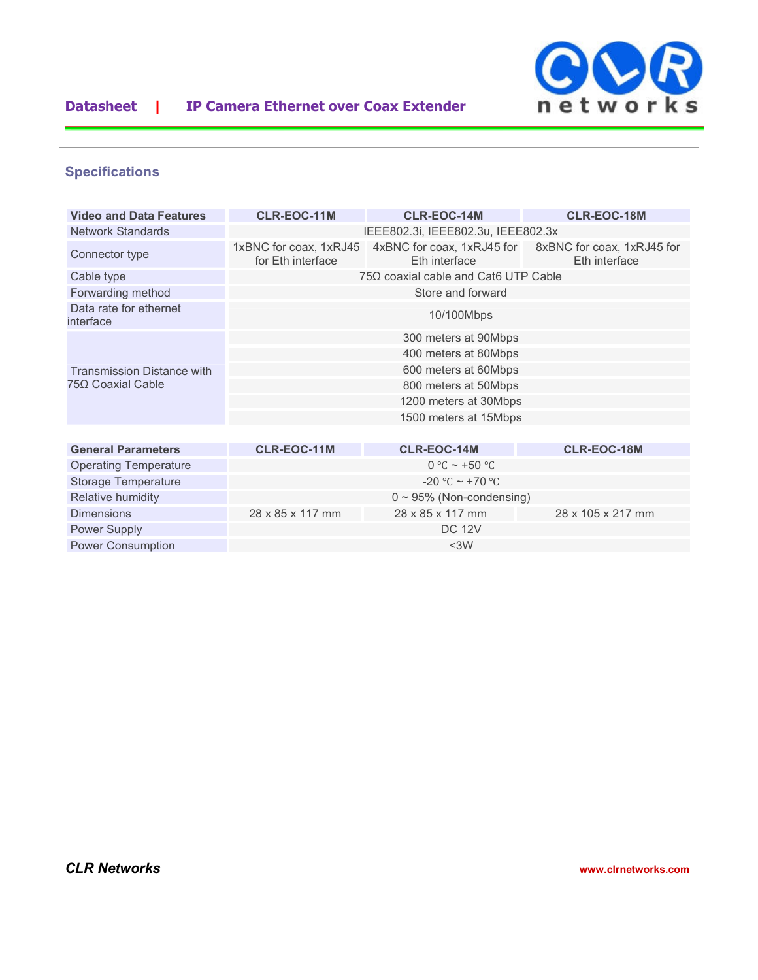

# **Datasheet | IP Camera Ethernet over Coax Extender**

## **Specifications**

| <b>Video and Data Features</b>                         | <b>CLR-EOC-11M</b>                          | <b>CLR-EOC-14M</b>    | <b>CLR-EOC-18M</b>                                                     |  |
|--------------------------------------------------------|---------------------------------------------|-----------------------|------------------------------------------------------------------------|--|
| <b>Network Standards</b>                               | IEEE802.3i, IEEE802.3u, IEEE802.3x          |                       |                                                                        |  |
| Connector type                                         | 1xBNC for coax, 1xRJ45<br>for Eth interface | Eth interface         | 4xBNC for coax, 1xRJ45 for 8xBNC for coax, 1xRJ45 for<br>Eth interface |  |
| Cable type                                             | $75\Omega$ coaxial cable and Cat6 UTP Cable |                       |                                                                        |  |
| Forwarding method                                      | Store and forward                           |                       |                                                                        |  |
| Data rate for ethernet<br>interface                    | 10/100Mbps                                  |                       |                                                                        |  |
| <b>Transmission Distance with</b><br>75Ω Coaxial Cable | 300 meters at 90Mbps                        |                       |                                                                        |  |
|                                                        | 400 meters at 80Mbps                        |                       |                                                                        |  |
|                                                        | 600 meters at 60Mbps                        |                       |                                                                        |  |
|                                                        | 800 meters at 50Mbps                        |                       |                                                                        |  |
|                                                        | 1200 meters at 30Mbps                       |                       |                                                                        |  |
|                                                        |                                             | 1500 meters at 15Mbps |                                                                        |  |
|                                                        |                                             |                       |                                                                        |  |
| <b>General Parameters</b>                              | <b>CLR-EOC-11M</b>                          | <b>CLR-EOC-14M</b>    | <b>CLR-EOC-18M</b>                                                     |  |
| <b>Operating Temperature</b>                           |                                             | $0 °C \sim +50 °C$    |                                                                        |  |
| Storage Temperature                                    | $-20$ °C ~ +70 °C                           |                       |                                                                        |  |
| Relative humidity                                      | $0 \sim 95\%$ (Non-condensing)              |                       |                                                                        |  |
| <b>Dimensions</b>                                      | 28 x 85 x 117 mm                            | 28 x 85 x 117 mm      | 28 x 105 x 217 mm                                                      |  |
| Power Supply                                           |                                             | <b>DC 12V</b>         |                                                                        |  |
| <b>Power Consumption</b>                               |                                             | $3W$                  |                                                                        |  |